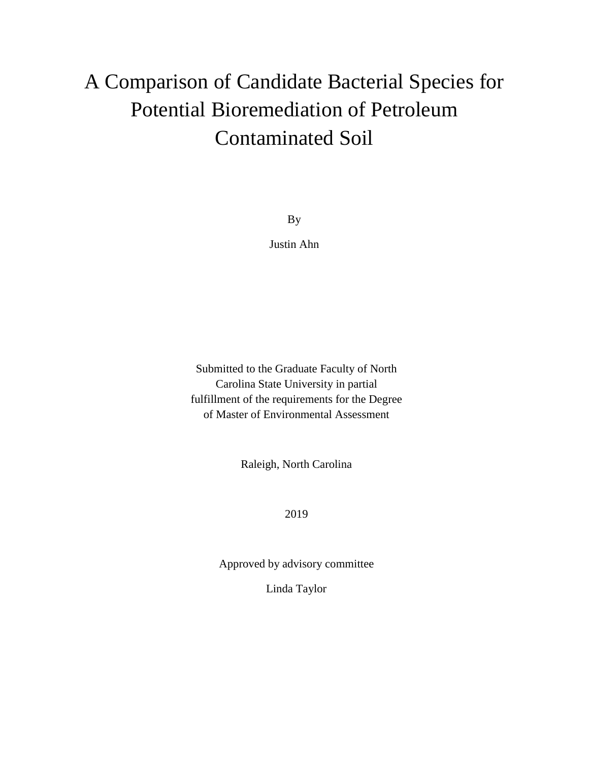# A Comparison of Candidate Bacterial Species for Potential Bioremediation of Petroleum Contaminated Soil

By

Justin Ahn

Submitted to the Graduate Faculty of North Carolina State University in partial fulfillment of the requirements for the Degree of Master of Environmental Assessment

Raleigh, North Carolina

2019

Approved by advisory committee

Linda Taylor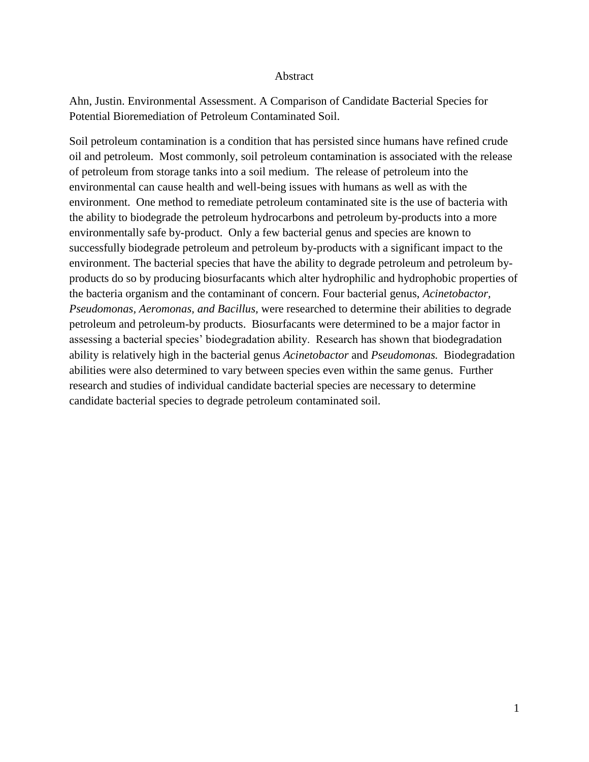#### Abstract

Ahn, Justin. Environmental Assessment. A Comparison of Candidate Bacterial Species for Potential Bioremediation of Petroleum Contaminated Soil.

Soil petroleum contamination is a condition that has persisted since humans have refined crude oil and petroleum. Most commonly, soil petroleum contamination is associated with the release of petroleum from storage tanks into a soil medium. The release of petroleum into the environmental can cause health and well-being issues with humans as well as with the environment. One method to remediate petroleum contaminated site is the use of bacteria with the ability to biodegrade the petroleum hydrocarbons and petroleum by-products into a more environmentally safe by-product. Only a few bacterial genus and species are known to successfully biodegrade petroleum and petroleum by-products with a significant impact to the environment. The bacterial species that have the ability to degrade petroleum and petroleum byproducts do so by producing biosurfacants which alter hydrophilic and hydrophobic properties of the bacteria organism and the contaminant of concern. Four bacterial genus, *Acinetobactor, Pseudomonas, Aeromonas, and Bacillus,* were researched to determine their abilities to degrade petroleum and petroleum-by products. Biosurfacants were determined to be a major factor in assessing a bacterial species' biodegradation ability. Research has shown that biodegradation ability is relatively high in the bacterial genus *Acinetobactor* and *Pseudomonas.* Biodegradation abilities were also determined to vary between species even within the same genus. Further research and studies of individual candidate bacterial species are necessary to determine candidate bacterial species to degrade petroleum contaminated soil.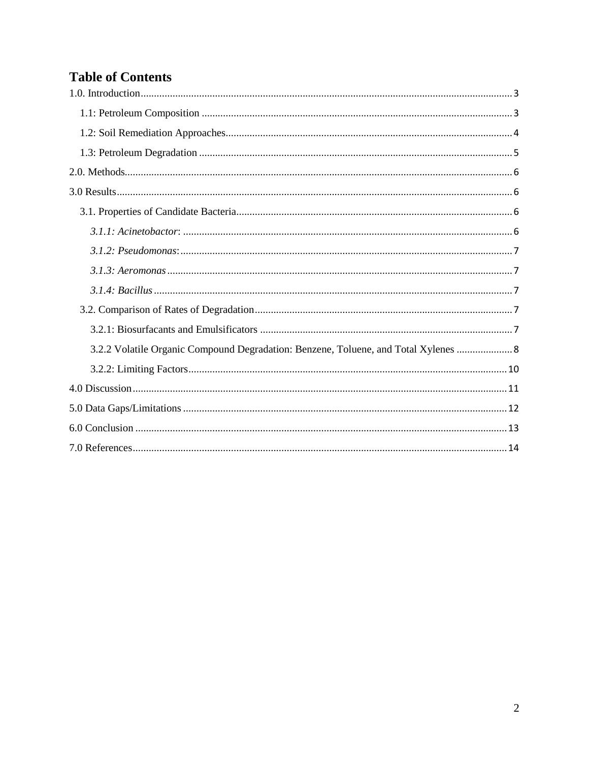## **Table of Contents**

| 3.2.2 Volatile Organic Compound Degradation: Benzene, Toluene, and Total Xylenes  8 |
|-------------------------------------------------------------------------------------|
|                                                                                     |
|                                                                                     |
|                                                                                     |
|                                                                                     |
|                                                                                     |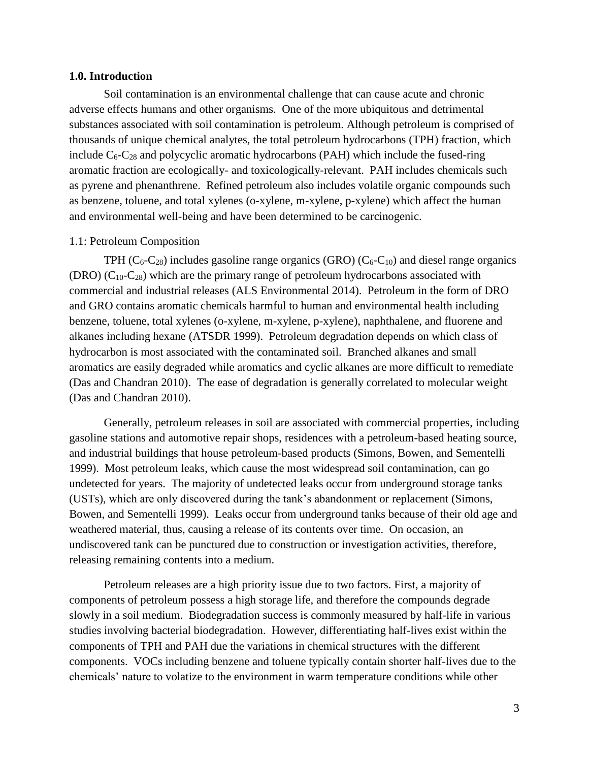#### <span id="page-3-0"></span>**1.0. Introduction**

Soil contamination is an environmental challenge that can cause acute and chronic adverse effects humans and other organisms. One of the more ubiquitous and detrimental substances associated with soil contamination is petroleum. Although petroleum is comprised of thousands of unique chemical analytes, the total petroleum hydrocarbons (TPH) fraction, which include  $C_6$ - $C_{28}$  and polycyclic aromatic hydrocarbons (PAH) which include the fused-ring aromatic fraction are ecologically- and toxicologically-relevant. PAH includes chemicals such as pyrene and phenanthrene. Refined petroleum also includes volatile organic compounds such as benzene, toluene, and total xylenes (o-xylene, m-xylene, p-xylene) which affect the human and environmental well-being and have been determined to be carcinogenic.

#### <span id="page-3-1"></span>1.1: Petroleum Composition

TPH ( $C_6$ - $C_{28}$ ) includes gasoline range organics (GRO) ( $C_6$ - $C_{10}$ ) and diesel range organics  $(DRO)$  ( $C_{10}$ - $C_{28}$ ) which are the primary range of petroleum hydrocarbons associated with commercial and industrial releases (ALS Environmental 2014). Petroleum in the form of DRO and GRO contains aromatic chemicals harmful to human and environmental health including benzene, toluene, total xylenes (o-xylene, m-xylene, p-xylene), naphthalene, and fluorene and alkanes including hexane (ATSDR 1999). Petroleum degradation depends on which class of hydrocarbon is most associated with the contaminated soil. Branched alkanes and small aromatics are easily degraded while aromatics and cyclic alkanes are more difficult to remediate (Das and Chandran 2010). The ease of degradation is generally correlated to molecular weight (Das and Chandran 2010).

Generally, petroleum releases in soil are associated with commercial properties, including gasoline stations and automotive repair shops, residences with a petroleum-based heating source, and industrial buildings that house petroleum-based products (Simons, Bowen, and Sementelli 1999). Most petroleum leaks, which cause the most widespread soil contamination, can go undetected for years. The majority of undetected leaks occur from underground storage tanks (USTs), which are only discovered during the tank's abandonment or replacement (Simons, Bowen, and Sementelli 1999). Leaks occur from underground tanks because of their old age and weathered material, thus, causing a release of its contents over time. On occasion, an undiscovered tank can be punctured due to construction or investigation activities, therefore, releasing remaining contents into a medium.

Petroleum releases are a high priority issue due to two factors. First, a majority of components of petroleum possess a high storage life, and therefore the compounds degrade slowly in a soil medium. Biodegradation success is commonly measured by half-life in various studies involving bacterial biodegradation. However, differentiating half-lives exist within the components of TPH and PAH due the variations in chemical structures with the different components. VOCs including benzene and toluene typically contain shorter half-lives due to the chemicals' nature to volatize to the environment in warm temperature conditions while other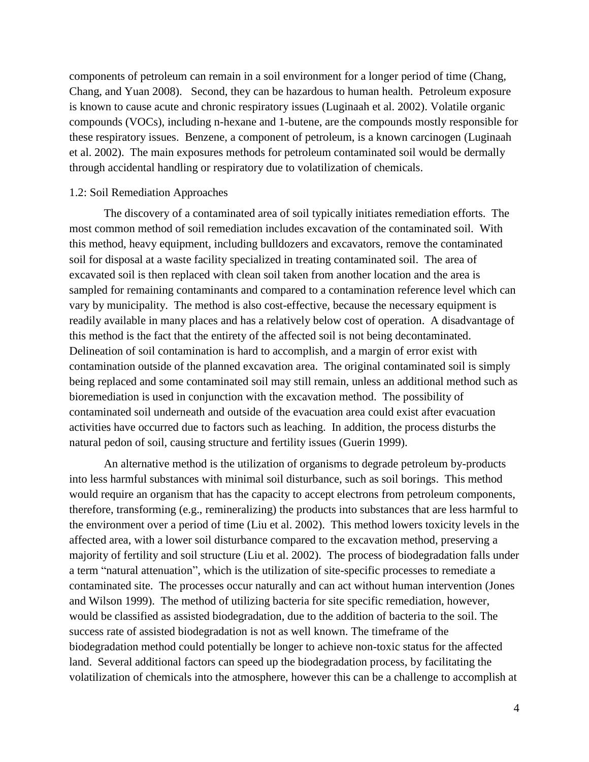components of petroleum can remain in a soil environment for a longer period of time (Chang, Chang, and Yuan 2008). Second, they can be hazardous to human health. Petroleum exposure is known to cause acute and chronic respiratory issues (Luginaah et al. 2002). Volatile organic compounds (VOCs), including n-hexane and 1-butene, are the compounds mostly responsible for these respiratory issues. Benzene, a component of petroleum, is a known carcinogen (Luginaah et al. 2002). The main exposures methods for petroleum contaminated soil would be dermally through accidental handling or respiratory due to volatilization of chemicals.

#### <span id="page-4-0"></span>1.2: Soil Remediation Approaches

The discovery of a contaminated area of soil typically initiates remediation efforts. The most common method of soil remediation includes excavation of the contaminated soil. With this method, heavy equipment, including bulldozers and excavators, remove the contaminated soil for disposal at a waste facility specialized in treating contaminated soil. The area of excavated soil is then replaced with clean soil taken from another location and the area is sampled for remaining contaminants and compared to a contamination reference level which can vary by municipality. The method is also cost-effective, because the necessary equipment is readily available in many places and has a relatively below cost of operation. A disadvantage of this method is the fact that the entirety of the affected soil is not being decontaminated. Delineation of soil contamination is hard to accomplish, and a margin of error exist with contamination outside of the planned excavation area. The original contaminated soil is simply being replaced and some contaminated soil may still remain, unless an additional method such as bioremediation is used in conjunction with the excavation method. The possibility of contaminated soil underneath and outside of the evacuation area could exist after evacuation activities have occurred due to factors such as leaching. In addition, the process disturbs the natural pedon of soil, causing structure and fertility issues (Guerin 1999).

An alternative method is the utilization of organisms to degrade petroleum by-products into less harmful substances with minimal soil disturbance, such as soil borings. This method would require an organism that has the capacity to accept electrons from petroleum components, therefore, transforming (e.g., remineralizing) the products into substances that are less harmful to the environment over a period of time (Liu et al. 2002). This method lowers toxicity levels in the affected area, with a lower soil disturbance compared to the excavation method, preserving a majority of fertility and soil structure (Liu et al. 2002). The process of biodegradation falls under a term "natural attenuation", which is the utilization of site-specific processes to remediate a contaminated site. The processes occur naturally and can act without human intervention (Jones and Wilson 1999). The method of utilizing bacteria for site specific remediation, however, would be classified as assisted biodegradation, due to the addition of bacteria to the soil. The success rate of assisted biodegradation is not as well known. The timeframe of the biodegradation method could potentially be longer to achieve non-toxic status for the affected land. Several additional factors can speed up the biodegradation process, by facilitating the volatilization of chemicals into the atmosphere, however this can be a challenge to accomplish at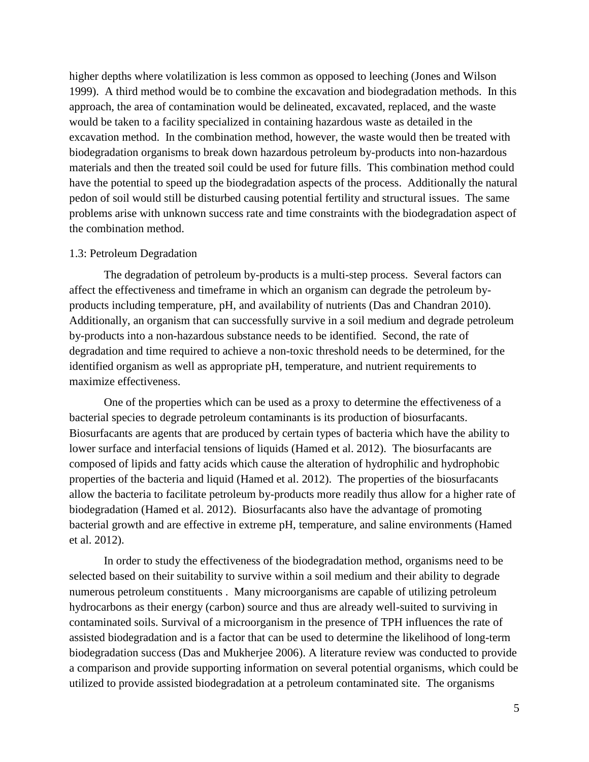higher depths where volatilization is less common as opposed to leeching (Jones and Wilson 1999). A third method would be to combine the excavation and biodegradation methods. In this approach, the area of contamination would be delineated, excavated, replaced, and the waste would be taken to a facility specialized in containing hazardous waste as detailed in the excavation method. In the combination method, however, the waste would then be treated with biodegradation organisms to break down hazardous petroleum by-products into non-hazardous materials and then the treated soil could be used for future fills. This combination method could have the potential to speed up the biodegradation aspects of the process. Additionally the natural pedon of soil would still be disturbed causing potential fertility and structural issues. The same problems arise with unknown success rate and time constraints with the biodegradation aspect of the combination method.

#### <span id="page-5-0"></span>1.3: Petroleum Degradation

The degradation of petroleum by-products is a multi-step process. Several factors can affect the effectiveness and timeframe in which an organism can degrade the petroleum byproducts including temperature, pH, and availability of nutrients (Das and Chandran 2010). Additionally, an organism that can successfully survive in a soil medium and degrade petroleum by-products into a non-hazardous substance needs to be identified. Second, the rate of degradation and time required to achieve a non-toxic threshold needs to be determined, for the identified organism as well as appropriate pH, temperature, and nutrient requirements to maximize effectiveness.

One of the properties which can be used as a proxy to determine the effectiveness of a bacterial species to degrade petroleum contaminants is its production of biosurfacants. Biosurfacants are agents that are produced by certain types of bacteria which have the ability to lower surface and interfacial tensions of liquids (Hamed et al. 2012). The biosurfacants are composed of lipids and fatty acids which cause the alteration of hydrophilic and hydrophobic properties of the bacteria and liquid (Hamed et al. 2012). The properties of the biosurfacants allow the bacteria to facilitate petroleum by-products more readily thus allow for a higher rate of biodegradation (Hamed et al. 2012). Biosurfacants also have the advantage of promoting bacterial growth and are effective in extreme pH, temperature, and saline environments (Hamed et al. 2012).

In order to study the effectiveness of the biodegradation method, organisms need to be selected based on their suitability to survive within a soil medium and their ability to degrade numerous petroleum constituents . Many microorganisms are capable of utilizing petroleum hydrocarbons as their energy (carbon) source and thus are already well-suited to surviving in contaminated soils. Survival of a microorganism in the presence of TPH influences the rate of assisted biodegradation and is a factor that can be used to determine the likelihood of long-term biodegradation success (Das and Mukherjee 2006). A literature review was conducted to provide a comparison and provide supporting information on several potential organisms, which could be utilized to provide assisted biodegradation at a petroleum contaminated site. The organisms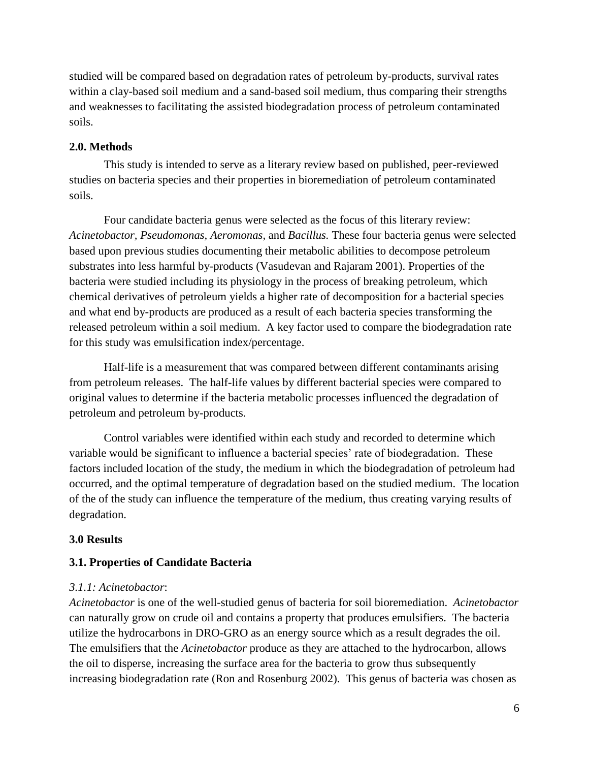studied will be compared based on degradation rates of petroleum by-products, survival rates within a clay-based soil medium and a sand-based soil medium, thus comparing their strengths and weaknesses to facilitating the assisted biodegradation process of petroleum contaminated soils.

#### <span id="page-6-0"></span>**2.0. Methods**

This study is intended to serve as a literary review based on published, peer-reviewed studies on bacteria species and their properties in bioremediation of petroleum contaminated soils.

Four candidate bacteria genus were selected as the focus of this literary review: *Acinetobactor, Pseudomonas, Aeromonas,* and *Bacillus.* These four bacteria genus were selected based upon previous studies documenting their metabolic abilities to decompose petroleum substrates into less harmful by-products (Vasudevan and Rajaram 2001). Properties of the bacteria were studied including its physiology in the process of breaking petroleum, which chemical derivatives of petroleum yields a higher rate of decomposition for a bacterial species and what end by-products are produced as a result of each bacteria species transforming the released petroleum within a soil medium. A key factor used to compare the biodegradation rate for this study was emulsification index/percentage.

Half-life is a measurement that was compared between different contaminants arising from petroleum releases. The half-life values by different bacterial species were compared to original values to determine if the bacteria metabolic processes influenced the degradation of petroleum and petroleum by-products.

Control variables were identified within each study and recorded to determine which variable would be significant to influence a bacterial species' rate of biodegradation. These factors included location of the study, the medium in which the biodegradation of petroleum had occurred, and the optimal temperature of degradation based on the studied medium. The location of the of the study can influence the temperature of the medium, thus creating varying results of degradation.

## <span id="page-6-1"></span>**3.0 Results**

#### <span id="page-6-2"></span>**3.1. Properties of Candidate Bacteria**

#### <span id="page-6-3"></span>*3.1.1: Acinetobactor*:

*Acinetobactor* is one of the well-studied genus of bacteria for soil bioremediation. *Acinetobactor*  can naturally grow on crude oil and contains a property that produces emulsifiers. The bacteria utilize the hydrocarbons in DRO-GRO as an energy source which as a result degrades the oil. The emulsifiers that the *Acinetobactor* produce as they are attached to the hydrocarbon, allows the oil to disperse, increasing the surface area for the bacteria to grow thus subsequently increasing biodegradation rate (Ron and Rosenburg 2002). This genus of bacteria was chosen as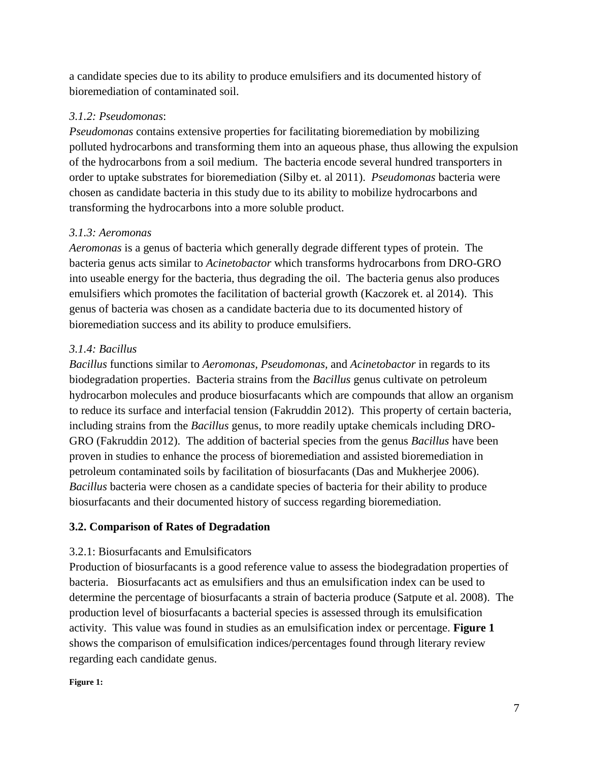a candidate species due to its ability to produce emulsifiers and its documented history of bioremediation of contaminated soil.

## <span id="page-7-0"></span>*3.1.2: Pseudomonas*:

*Pseudomonas* contains extensive properties for facilitating bioremediation by mobilizing polluted hydrocarbons and transforming them into an aqueous phase, thus allowing the expulsion of the hydrocarbons from a soil medium. The bacteria encode several hundred transporters in order to uptake substrates for bioremediation (Silby et. al 2011). *Pseudomonas* bacteria were chosen as candidate bacteria in this study due to its ability to mobilize hydrocarbons and transforming the hydrocarbons into a more soluble product.

## <span id="page-7-1"></span>*3.1.3: Aeromonas*

*Aeromonas* is a genus of bacteria which generally degrade different types of protein. The bacteria genus acts similar to *Acinetobactor* which transforms hydrocarbons from DRO-GRO into useable energy for the bacteria, thus degrading the oil. The bacteria genus also produces emulsifiers which promotes the facilitation of bacterial growth (Kaczorek et. al 2014). This genus of bacteria was chosen as a candidate bacteria due to its documented history of bioremediation success and its ability to produce emulsifiers.

## <span id="page-7-2"></span>*3.1.4: Bacillus*

*Bacillus* functions similar to *Aeromonas, Pseudomonas,* and *Acinetobactor* in regards to its biodegradation properties. Bacteria strains from the *Bacillus* genus cultivate on petroleum hydrocarbon molecules and produce biosurfacants which are compounds that allow an organism to reduce its surface and interfacial tension (Fakruddin 2012). This property of certain bacteria, including strains from the *Bacillus* genus, to more readily uptake chemicals including DRO-GRO (Fakruddin 2012). The addition of bacterial species from the genus *Bacillus* have been proven in studies to enhance the process of bioremediation and assisted bioremediation in petroleum contaminated soils by facilitation of biosurfacants (Das and Mukherjee 2006). *Bacillus* bacteria were chosen as a candidate species of bacteria for their ability to produce biosurfacants and their documented history of success regarding bioremediation.

## <span id="page-7-3"></span>**3.2. Comparison of Rates of Degradation**

## <span id="page-7-4"></span>3.2.1: Biosurfacants and Emulsificators

Production of biosurfacants is a good reference value to assess the biodegradation properties of bacteria. Biosurfacants act as emulsifiers and thus an emulsification index can be used to determine the percentage of biosurfacants a strain of bacteria produce (Satpute et al. 2008). The production level of biosurfacants a bacterial species is assessed through its emulsification activity. This value was found in studies as an emulsification index or percentage. **Figure 1** shows the comparison of emulsification indices/percentages found through literary review regarding each candidate genus.

#### **Figure 1:**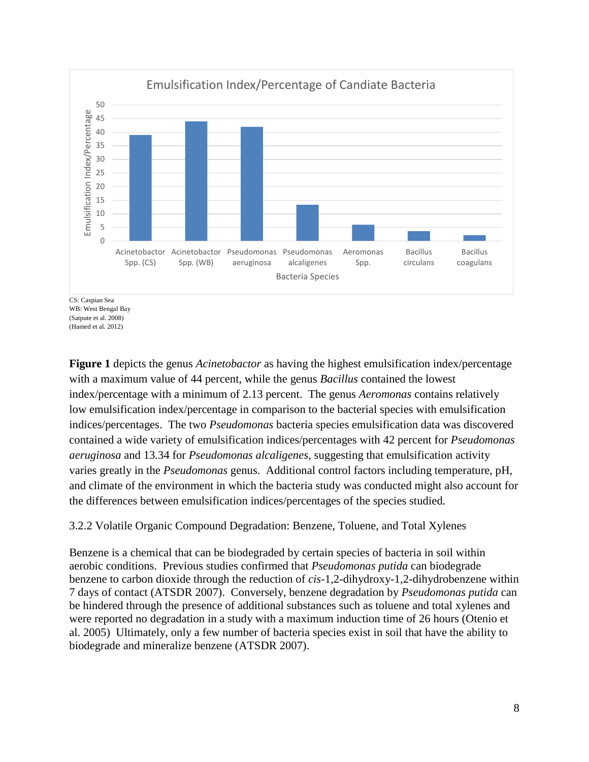

WB: West Bengal Bay (Satpute et al. 2008)

(Hamed et al. 2012)

**Figure 1** depicts the genus *Acinetobactor* as having the highest emulsification index/percentage with a maximum value of 44 percent, while the genus *Bacillus* contained the lowest index/percentage with a minimum of 2.13 percent. The genus *Aeromonas* contains relatively low emulsification index/percentage in comparison to the bacterial species with emulsification indices/percentages. The two *Pseudomonas* bacteria species emulsification data was discovered contained a wide variety of emulsification indices/percentages with 42 percent for *Pseudomonas aeruginosa* and 13.34 for *Pseudomonas alcaligenes*, suggesting that emulsification activity varies greatly in the *Pseudomonas* genus. Additional control factors including temperature, pH, and climate of the environment in which the bacteria study was conducted might also account for the differences between emulsification indices/percentages of the species studied.

## <span id="page-8-0"></span>3.2.2 Volatile Organic Compound Degradation: Benzene, Toluene, and Total Xylenes

Benzene is a chemical that can be biodegraded by certain species of bacteria in soil within aerobic conditions. Previous studies confirmed that *Pseudomonas putida* can biodegrade benzene to carbon dioxide through the reduction of *cis*-1,2-dihydroxy-1,2-dihydrobenzene within 7 days of contact (ATSDR 2007). Conversely, benzene degradation by *Pseudomonas putida* can be hindered through the presence of additional substances such as toluene and total xylenes and were reported no degradation in a study with a maximum induction time of 26 hours (Otenio et al. 2005) Ultimately, only a few number of bacteria species exist in soil that have the ability to biodegrade and mineralize benzene (ATSDR 2007).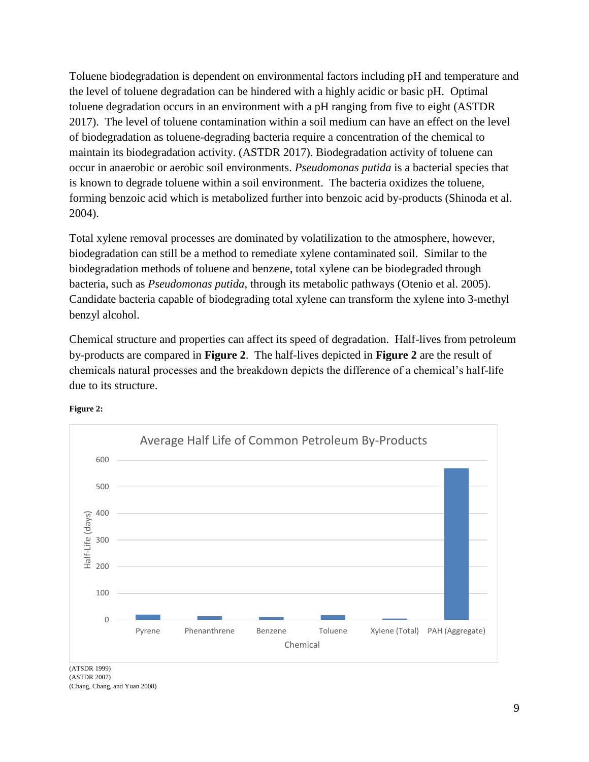Toluene biodegradation is dependent on environmental factors including pH and temperature and the level of toluene degradation can be hindered with a highly acidic or basic pH. Optimal toluene degradation occurs in an environment with a pH ranging from five to eight (ASTDR 2017). The level of toluene contamination within a soil medium can have an effect on the level of biodegradation as toluene-degrading bacteria require a concentration of the chemical to maintain its biodegradation activity. (ASTDR 2017). Biodegradation activity of toluene can occur in anaerobic or aerobic soil environments. *Pseudomonas putida* is a bacterial species that is known to degrade toluene within a soil environment. The bacteria oxidizes the toluene, forming benzoic acid which is metabolized further into benzoic acid by-products (Shinoda et al. 2004).

Total xylene removal processes are dominated by volatilization to the atmosphere, however, biodegradation can still be a method to remediate xylene contaminated soil. Similar to the biodegradation methods of toluene and benzene, total xylene can be biodegraded through bacteria, such as *Pseudomonas putida,* through its metabolic pathways (Otenio et al. 2005). Candidate bacteria capable of biodegrading total xylene can transform the xylene into 3-methyl benzyl alcohol.

Chemical structure and properties can affect its speed of degradation. Half-lives from petroleum by-products are compared in **Figure 2**. The half-lives depicted in **Figure 2** are the result of chemicals natural processes and the breakdown depicts the difference of a chemical's half-life due to its structure.



**Figure 2:**

(ATSDR 1999) (ASTDR 2007)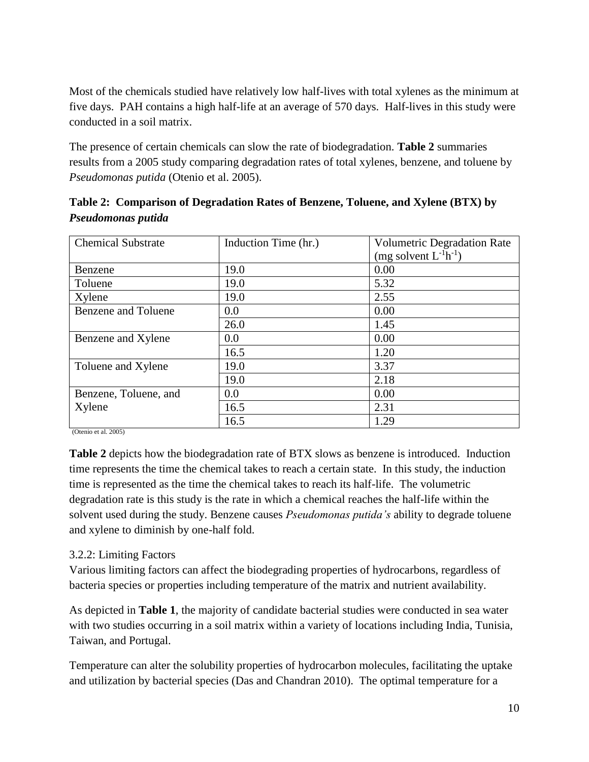Most of the chemicals studied have relatively low half-lives with total xylenes as the minimum at five days. PAH contains a high half-life at an average of 570 days. Half-lives in this study were conducted in a soil matrix.

The presence of certain chemicals can slow the rate of biodegradation. **Table 2** summaries results from a 2005 study comparing degradation rates of total xylenes, benzene, and toluene by *Pseudomonas putida* (Otenio et al. 2005).

| <b>Chemical Substrate</b>  | Induction Time (hr.) | <b>Volumetric Degradation Rate</b> |
|----------------------------|----------------------|------------------------------------|
|                            |                      | (mg solvent $L^{-1}h^{-1}$ )       |
| Benzene                    | 19.0                 | 0.00                               |
| Toluene                    | 19.0                 | 5.32                               |
| Xylene                     | 19.0                 | 2.55                               |
| <b>Benzene and Toluene</b> | 0.0                  | 0.00                               |
|                            | 26.0                 | 1.45                               |
| Benzene and Xylene         | 0.0                  | 0.00                               |
|                            | 16.5                 | 1.20                               |
| Toluene and Xylene         | 19.0                 | 3.37                               |
|                            | 19.0                 | 2.18                               |
| Benzene, Toluene, and      | 0.0                  | 0.00                               |
| Xylene                     | 16.5                 | 2.31                               |
|                            | 16.5                 | 1.29                               |

**Table 2: Comparison of Degradation Rates of Benzene, Toluene, and Xylene (BTX) by**  *Pseudomonas putida*

(Otenio et al. 2005)

**Table 2** depicts how the biodegradation rate of BTX slows as benzene is introduced. Induction time represents the time the chemical takes to reach a certain state. In this study, the induction time is represented as the time the chemical takes to reach its half-life. The volumetric degradation rate is this study is the rate in which a chemical reaches the half-life within the solvent used during the study. Benzene causes *Pseudomonas putida's* ability to degrade toluene and xylene to diminish by one-half fold.

#### <span id="page-10-0"></span>3.2.2: Limiting Factors

Various limiting factors can affect the biodegrading properties of hydrocarbons, regardless of bacteria species or properties including temperature of the matrix and nutrient availability.

As depicted in **Table 1**, the majority of candidate bacterial studies were conducted in sea water with two studies occurring in a soil matrix within a variety of locations including India, Tunisia, Taiwan, and Portugal.

Temperature can alter the solubility properties of hydrocarbon molecules, facilitating the uptake and utilization by bacterial species (Das and Chandran 2010). The optimal temperature for a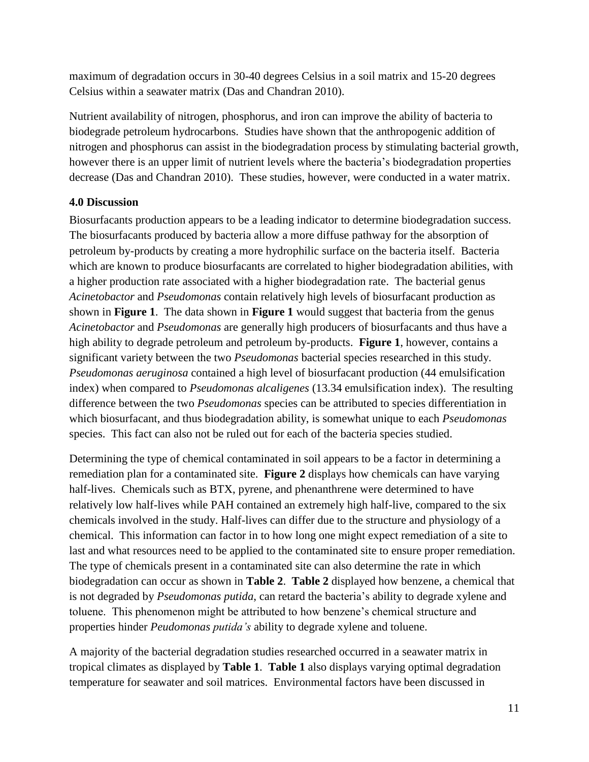maximum of degradation occurs in 30-40 degrees Celsius in a soil matrix and 15-20 degrees Celsius within a seawater matrix (Das and Chandran 2010).

Nutrient availability of nitrogen, phosphorus, and iron can improve the ability of bacteria to biodegrade petroleum hydrocarbons. Studies have shown that the anthropogenic addition of nitrogen and phosphorus can assist in the biodegradation process by stimulating bacterial growth, however there is an upper limit of nutrient levels where the bacteria's biodegradation properties decrease (Das and Chandran 2010). These studies, however, were conducted in a water matrix.

## <span id="page-11-0"></span>**4.0 Discussion**

Biosurfacants production appears to be a leading indicator to determine biodegradation success. The biosurfacants produced by bacteria allow a more diffuse pathway for the absorption of petroleum by-products by creating a more hydrophilic surface on the bacteria itself. Bacteria which are known to produce biosurfacants are correlated to higher biodegradation abilities, with a higher production rate associated with a higher biodegradation rate. The bacterial genus *Acinetobactor* and *Pseudomonas* contain relatively high levels of biosurfacant production as shown in **Figure 1**. The data shown in **Figure 1** would suggest that bacteria from the genus *Acinetobactor* and *Pseudomonas* are generally high producers of biosurfacants and thus have a high ability to degrade petroleum and petroleum by-products. **Figure 1**, however, contains a significant variety between the two *Pseudomonas* bacterial species researched in this study. *Pseudomonas aeruginosa* contained a high level of biosurfacant production (44 emulsification index) when compared to *Pseudomonas alcaligenes* (13.34 emulsification index). The resulting difference between the two *Pseudomonas* species can be attributed to species differentiation in which biosurfacant, and thus biodegradation ability, is somewhat unique to each *Pseudomonas*  species. This fact can also not be ruled out for each of the bacteria species studied.

Determining the type of chemical contaminated in soil appears to be a factor in determining a remediation plan for a contaminated site. **Figure 2** displays how chemicals can have varying half-lives. Chemicals such as BTX, pyrene, and phenanthrene were determined to have relatively low half-lives while PAH contained an extremely high half-live, compared to the six chemicals involved in the study. Half-lives can differ due to the structure and physiology of a chemical. This information can factor in to how long one might expect remediation of a site to last and what resources need to be applied to the contaminated site to ensure proper remediation. The type of chemicals present in a contaminated site can also determine the rate in which biodegradation can occur as shown in **Table 2**. **Table 2** displayed how benzene, a chemical that is not degraded by *Pseudomonas putida*, can retard the bacteria's ability to degrade xylene and toluene. This phenomenon might be attributed to how benzene's chemical structure and properties hinder *Peudomonas putida's* ability to degrade xylene and toluene.

A majority of the bacterial degradation studies researched occurred in a seawater matrix in tropical climates as displayed by **Table 1**. **Table 1** also displays varying optimal degradation temperature for seawater and soil matrices. Environmental factors have been discussed in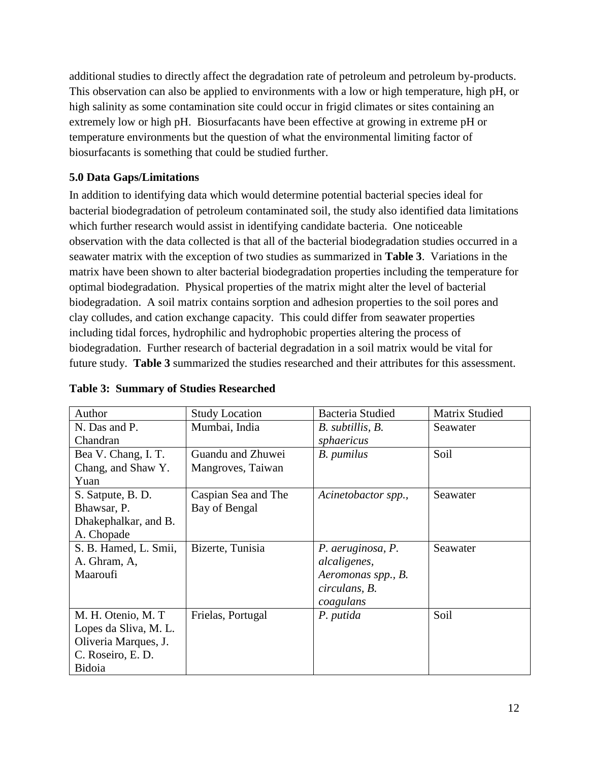additional studies to directly affect the degradation rate of petroleum and petroleum by-products. This observation can also be applied to environments with a low or high temperature, high pH, or high salinity as some contamination site could occur in frigid climates or sites containing an extremely low or high pH. Biosurfacants have been effective at growing in extreme pH or temperature environments but the question of what the environmental limiting factor of biosurfacants is something that could be studied further.

## <span id="page-12-0"></span>**5.0 Data Gaps/Limitations**

In addition to identifying data which would determine potential bacterial species ideal for bacterial biodegradation of petroleum contaminated soil, the study also identified data limitations which further research would assist in identifying candidate bacteria. One noticeable observation with the data collected is that all of the bacterial biodegradation studies occurred in a seawater matrix with the exception of two studies as summarized in **Table 3**. Variations in the matrix have been shown to alter bacterial biodegradation properties including the temperature for optimal biodegradation. Physical properties of the matrix might alter the level of bacterial biodegradation. A soil matrix contains sorption and adhesion properties to the soil pores and clay colludes, and cation exchange capacity. This could differ from seawater properties including tidal forces, hydrophilic and hydrophobic properties altering the process of biodegradation. Further research of bacterial degradation in a soil matrix would be vital for future study. **Table 3** summarized the studies researched and their attributes for this assessment.

| Author                | <b>Study Location</b> | Bacteria Studied    | Matrix Studied |
|-----------------------|-----------------------|---------------------|----------------|
| N. Das and P.         | Mumbai, India         | B. subtillis, B.    | Seawater       |
| Chandran              |                       | sphaericus          |                |
| Bea V. Chang, I. T.   | Guandu and Zhuwei     | B. pumilus          | Soil           |
| Chang, and Shaw Y.    | Mangroves, Taiwan     |                     |                |
| Yuan                  |                       |                     |                |
| S. Satpute, B. D.     | Caspian Sea and The   | Acinetobactor spp., | Seawater       |
| Bhawsar, P.           | Bay of Bengal         |                     |                |
| Dhakephalkar, and B.  |                       |                     |                |
| A. Chopade            |                       |                     |                |
| S. B. Hamed, L. Smii, | Bizerte, Tunisia      | P. aeruginosa, P.   | Seawater       |
| A. Ghram, A,          |                       | alcaligenes,        |                |
| Maaroufi              |                       | Aeromonas spp., B.  |                |
|                       |                       | circulans, B.       |                |
|                       |                       | coagulans           |                |
| M. H. Otenio, M. T.   | Frielas, Portugal     | P. putida           | Soil           |
| Lopes da Sliva, M. L. |                       |                     |                |
| Oliveria Marques, J.  |                       |                     |                |
| C. Roseiro, E. D.     |                       |                     |                |
| Bidoia                |                       |                     |                |

## **Table 3: Summary of Studies Researched**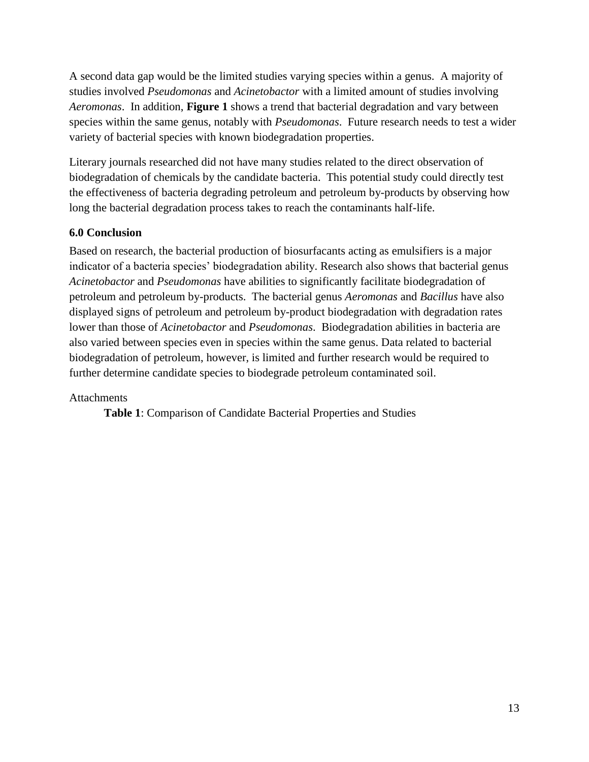A second data gap would be the limited studies varying species within a genus. A majority of studies involved *Pseudomonas* and *Acinetobactor* with a limited amount of studies involving *Aeromonas*. In addition, **Figure 1** shows a trend that bacterial degradation and vary between species within the same genus, notably with *Pseudomonas*. Future research needs to test a wider variety of bacterial species with known biodegradation properties.

Literary journals researched did not have many studies related to the direct observation of biodegradation of chemicals by the candidate bacteria. This potential study could directly test the effectiveness of bacteria degrading petroleum and petroleum by-products by observing how long the bacterial degradation process takes to reach the contaminants half-life.

## <span id="page-13-0"></span>**6.0 Conclusion**

Based on research, the bacterial production of biosurfacants acting as emulsifiers is a major indicator of a bacteria species' biodegradation ability. Research also shows that bacterial genus *Acinetobactor* and *Pseudomonas* have abilities to significantly facilitate biodegradation of petroleum and petroleum by-products. The bacterial genus *Aeromonas* and *Bacillus* have also displayed signs of petroleum and petroleum by-product biodegradation with degradation rates lower than those of *Acinetobactor* and *Pseudomonas*. Biodegradation abilities in bacteria are also varied between species even in species within the same genus. Data related to bacterial biodegradation of petroleum, however, is limited and further research would be required to further determine candidate species to biodegrade petroleum contaminated soil.

## Attachments

**Table 1**: Comparison of Candidate Bacterial Properties and Studies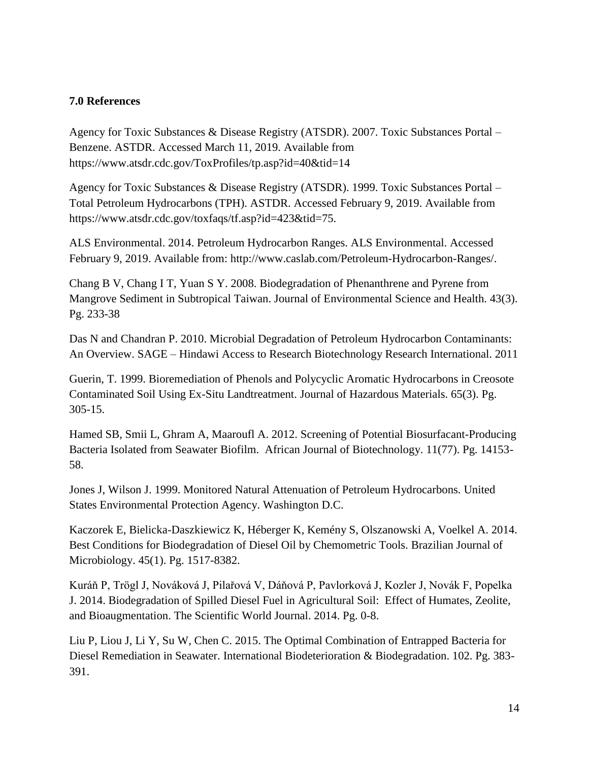#### <span id="page-14-0"></span>**7.0 References**

Agency for Toxic Substances & Disease Registry (ATSDR). 2007. Toxic Substances Portal – Benzene. ASTDR. Accessed March 11, 2019. Available from https://www.atsdr.cdc.gov/ToxProfiles/tp.asp?id=40&tid=14

Agency for Toxic Substances & Disease Registry (ATSDR). 1999. Toxic Substances Portal – Total Petroleum Hydrocarbons (TPH). ASTDR. Accessed February 9, 2019. Available from https://www.atsdr.cdc.gov/toxfaqs/tf.asp?id=423&tid=75.

ALS Environmental. 2014. Petroleum Hydrocarbon Ranges. ALS Environmental. Accessed February 9, 2019. Available from: http://www.caslab.com/Petroleum-Hydrocarbon-Ranges/.

Chang B V, Chang I T, Yuan S Y. 2008. Biodegradation of Phenanthrene and Pyrene from Mangrove Sediment in Subtropical Taiwan. Journal of Environmental Science and Health. 43(3). Pg. 233-38

Das N and Chandran P. 2010. Microbial Degradation of Petroleum Hydrocarbon Contaminants: An Overview. SAGE – Hindawi Access to Research Biotechnology Research International. 2011

Guerin, T. 1999. Bioremediation of Phenols and Polycyclic Aromatic Hydrocarbons in Creosote Contaminated Soil Using Ex-Situ Landtreatment. Journal of Hazardous Materials. 65(3). Pg. 305-15.

Hamed SB, Smii L, Ghram A, Maaroufl A. 2012. Screening of Potential Biosurfacant-Producing Bacteria Isolated from Seawater Biofilm. African Journal of Biotechnology. 11(77). Pg. 14153- 58.

Jones J, Wilson J. 1999. Monitored Natural Attenuation of Petroleum Hydrocarbons. United States Environmental Protection Agency. Washington D.C.

Kaczorek E, Bielicka-Daszkiewicz K, Héberger K, Kemény S, Olszanowski A, Voelkel A. 2014. Best Conditions for Biodegradation of Diesel Oil by Chemometric Tools. Brazilian Journal of Microbiology. 45(1). Pg. 1517-8382.

Kuráň P, Trögl J, Nováková J, Pilařová V, Dáňová P, Pavlorková J, Kozler J, Novák F, Popelka J. 2014. Biodegradation of Spilled Diesel Fuel in Agricultural Soil: Effect of Humates, Zeolite, and Bioaugmentation. The Scientific World Journal. 2014. Pg. 0-8.

Liu P, Liou J, Li Y, Su W, Chen C. 2015. The Optimal Combination of Entrapped Bacteria for Diesel Remediation in Seawater. International Biodeterioration & Biodegradation. 102. Pg. 383- 391.